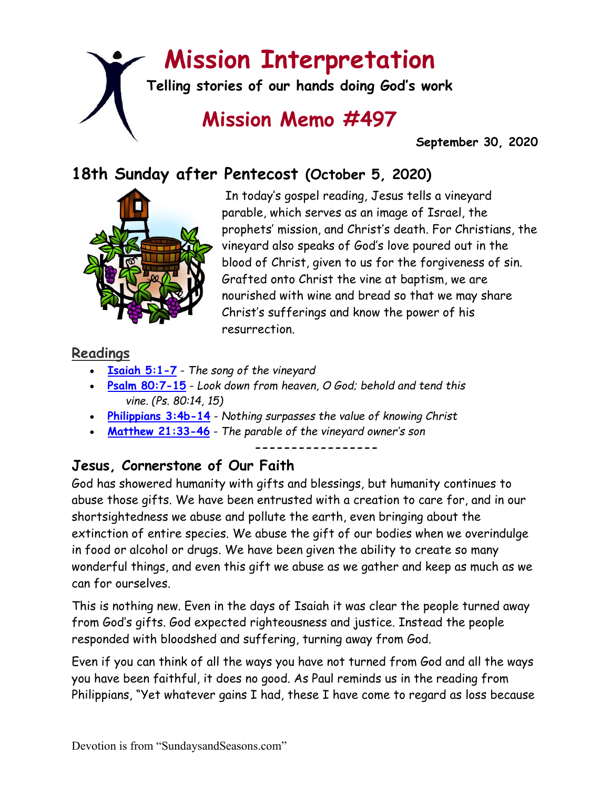# **Mission Interpretation**

**Telling stories of our hands doing God's work**

# **Mission Memo #497**

 **September 30, 2020**

# **18th Sunday after Pentecost (October 5, 2020)**



In today's gospel reading, Jesus tells a vineyard parable, which serves as an image of Israel, the prophets' mission, and Christ's death. For Christians, the vineyard also speaks of God's love poured out in the blood of Christ, given to us for the forgiveness of sin. Grafted onto Christ the vine at baptism, we are nourished with wine and bread so that we may share Christ's sufferings and know the power of his resurrection.

### **Readings**

- **[Isaiah 5:1-7](https://members.sundaysandseasons.com/)** *The song of the vineyard*
- **[Psalm 80:7-15](https://members.sundaysandseasons.com/)** *Look down from heaven, O God; behold and tend this vine. (Ps. 80:14, 15)*
- **[Philippians 3:4b-14](https://members.sundaysandseasons.com/)** *Nothing surpasses the value of knowing Christ*
- **[Matthew 21:33-46](https://members.sundaysandseasons.com/)** *The parable of the vineyard owner's son*

**-----------------**

## **Jesus, Cornerstone of Our Faith**

God has showered humanity with gifts and blessings, but humanity continues to abuse those gifts. We have been entrusted with a creation to care for, and in our shortsightedness we abuse and pollute the earth, even bringing about the extinction of entire species. We abuse the gift of our bodies when we overindulge in food or alcohol or drugs. We have been given the ability to create so many wonderful things, and even this gift we abuse as we gather and keep as much as we can for ourselves.

This is nothing new. Even in the days of Isaiah it was clear the people turned away from God's gifts. God expected righteousness and justice. Instead the people responded with bloodshed and suffering, turning away from God.

Even if you can think of all the ways you have not turned from God and all the ways you have been faithful, it does no good. As Paul reminds us in the reading from Philippians, "Yet whatever gains I had, these I have come to regard as loss because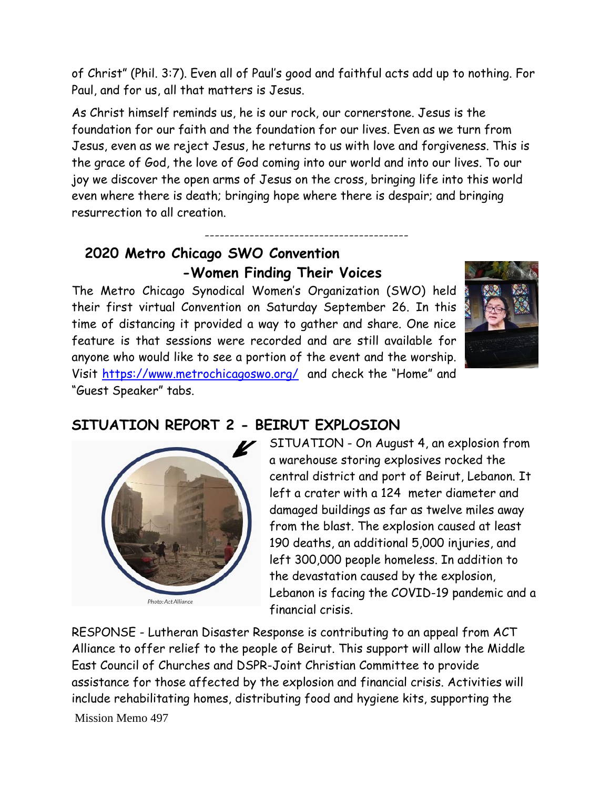of Christ" (Phil. 3:7). Even all of Paul's good and faithful acts add up to nothing. For Paul, and for us, all that matters is Jesus.

As Christ himself reminds us, he is our rock, our cornerstone. Jesus is the foundation for our faith and the foundation for our lives. Even as we turn from Jesus, even as we reject Jesus, he returns to us with love and forgiveness. This is the grace of God, the love of God coming into our world and into our lives. To our joy we discover the open arms of Jesus on the cross, bringing life into this world even where there is death; bringing hope where there is despair; and bringing resurrection to all creation.

-----------------------------------------

### **2020 Metro Chicago SWO Convention -Women Finding Their Voices**

The Metro Chicago Synodical Women's Organization (SWO) held their first virtual Convention on Saturday September 26. In this time of distancing it provided a way to gather and share. One nice feature is that sessions were recorded and are still available for anyone who would like to see a portion of the event and the worship. Visit<https://www.metrochicagoswo.org/> and check the "Home" and "Guest Speaker" tabs.



# Photo: Act Alliance

### **SITUATION REPORT 2 - BEIRUT EXPLOSION**

SITUATION - On August 4, an explosion from a warehouse storing explosives rocked the central district and port of Beirut, Lebanon. It left a crater with a 124 meter diameter and damaged buildings as far as twelve miles away from the blast. The explosion caused at least 190 deaths, an additional 5,000 injuries, and left 300,000 people homeless. In addition to the devastation caused by the explosion, Lebanon is facing the COVID-19 pandemic and a financial crisis.

RESPONSE - Lutheran Disaster Response is contributing to an appeal from ACT Alliance to offer relief to the people of Beirut. This support will allow the Middle East Council of Churches and DSPR-Joint Christian Committee to provide assistance for those affected by the explosion and financial crisis. Activities will include rehabilitating homes, distributing food and hygiene kits, supporting the

Mission Memo 497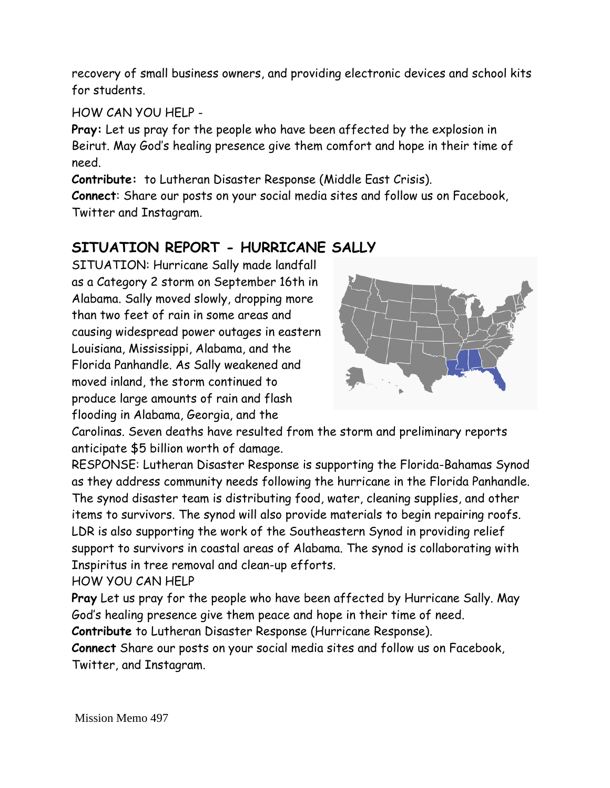recovery of small business owners, and providing electronic devices and school kits for students.

### HOW CAN YOU HELP -

**Pray:** Let us pray for the people who have been affected by the explosion in Beirut. May God's healing presence give them comfort and hope in their time of need.

**Contribute:** to Lutheran Disaster Response (Middle East Crisis).

**Connect**: Share our posts on your social media sites and follow us on Facebook, Twitter and Instagram.

### **SITUATION REPORT - HURRICANE SALLY**

SITUATION: Hurricane Sally made landfall as a Category 2 storm on September 16th in Alabama. Sally moved slowly, dropping more than two feet of rain in some areas and causing widespread power outages in eastern Louisiana, Mississippi, Alabama, and the Florida Panhandle. As Sally weakened and moved inland, the storm continued to produce large amounts of rain and flash flooding in Alabama, Georgia, and the



Carolinas. Seven deaths have resulted from the storm and preliminary reports anticipate \$5 billion worth of damage.

RESPONSE: Lutheran Disaster Response is supporting the Florida-Bahamas Synod as they address community needs following the hurricane in the Florida Panhandle. The synod disaster team is distributing food, water, cleaning supplies, and other items to survivors. The synod will also provide materials to begin repairing roofs. LDR is also supporting the work of the Southeastern Synod in providing relief support to survivors in coastal areas of Alabama. The synod is collaborating with Inspiritus in tree removal and clean-up efforts.

HOW YOU CAN HELP

**Pray** Let us pray for the people who have been affected by Hurricane Sally. May God's healing presence give them peace and hope in their time of need.

**Contribute** to Lutheran Disaster Response (Hurricane Response).

**Connect** Share our posts on your social media sites and follow us on Facebook, Twitter, and Instagram.